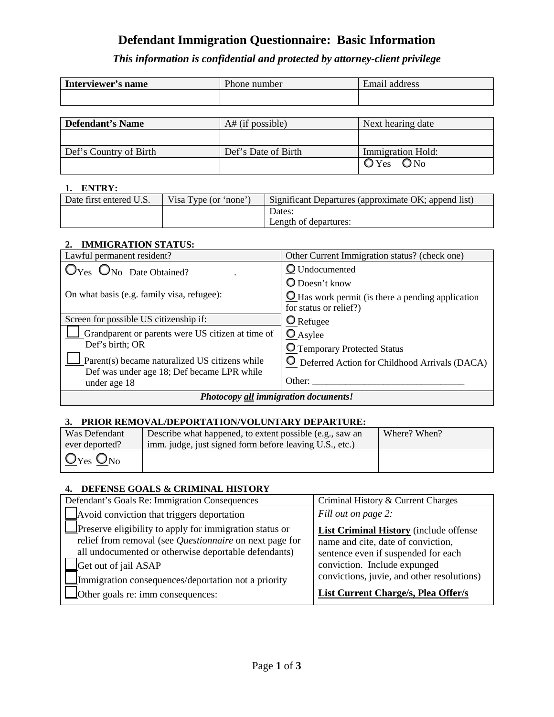# **Defendant Immigration Questionnaire: Basic Information**

*This information is confidential and protected by attorney-client privilege*

| Interviewer's name | Phone number | Email address |
|--------------------|--------------|---------------|
|                    |              |               |
|                    |              |               |

| Defendant's Name       | $At$ (if possible)  | Next hearing date                 |
|------------------------|---------------------|-----------------------------------|
|                        |                     |                                   |
| Def's Country of Birth | Def's Date of Birth | <b>Immigration Hold:</b>          |
|                        |                     | $\mathbb{O}$ Yes<br>$\bigcirc$ No |

#### **1. ENTRY:**

| Date first entered U.S. | Visa Type (or 'none') | Significant Departures (approximate OK; append list) |
|-------------------------|-----------------------|------------------------------------------------------|
|                         |                       | Dates:                                               |
|                         |                       | Length of departures:                                |

### **2. IMMIGRATION STATUS:**

| Lawful permanent resident?                        | Other Current Immigration status? (check one)            |  |
|---------------------------------------------------|----------------------------------------------------------|--|
| $\mathbf{O}_{\text{No}}$ Date Obtained?           | <b>O</b> Undocumented                                    |  |
|                                                   | O Doesn't know                                           |  |
| On what basis (e.g. family visa, refugee):        | $\Omega$ Has work permit (is there a pending application |  |
|                                                   | for status or relief?)                                   |  |
| Screen for possible US citizenship if:            | O Refugee                                                |  |
| Grandparent or parents were US citizen at time of | $\mathbf{\odot}_{\text{Asyle}}$                          |  |
| Def's birth; OR                                   | O Temporary Protected Status                             |  |
| Parent(s) became naturalized US citizens while    | <b>O</b> Deferred Action for Childhood Arrivals (DACA)   |  |
| Def was under age 18; Def became LPR while        |                                                          |  |
| under age 18                                      | Other:                                                   |  |
| Photocopy all immigration documents!              |                                                          |  |

#### **3. PRIOR REMOVAL/DEPORTATION/VOLUNTARY DEPARTURE:**

| Was Defendant   | Describe what happened, to extent possible (e.g., saw an | Where? When? |  |
|-----------------|----------------------------------------------------------|--------------|--|
| ever deported?  | imm. judge, just signed form before leaving U.S., etc.)  |              |  |
| $\mid$ Oyes Ono |                                                          |              |  |

## **4. DEFENSE GOALS & CRIMINAL HISTORY**

| Defendant's Goals Re: Immigration Consequences                                                                                                                                                                                                                   | Criminal History & Current Charges                                                                                                                                                                |  |
|------------------------------------------------------------------------------------------------------------------------------------------------------------------------------------------------------------------------------------------------------------------|---------------------------------------------------------------------------------------------------------------------------------------------------------------------------------------------------|--|
| Avoid conviction that triggers deportation                                                                                                                                                                                                                       | Fill out on page 2:                                                                                                                                                                               |  |
| Preserve eligibility to apply for immigration status or<br>relief from removal (see Questionnaire on next page for<br>all undocumented or otherwise deportable defendants)<br>Get out of jail ASAP<br>$\Box$ Immigration consequences/deportation not a priority | List Criminal History (include offense<br>name and cite, date of conviction,<br>sentence even if suspended for each<br>conviction. Include expunged<br>convictions, juvie, and other resolutions) |  |
| $\Box$ Other goals re: imm consequences:                                                                                                                                                                                                                         | <b>List Current Charge/s, Plea Offer/s</b>                                                                                                                                                        |  |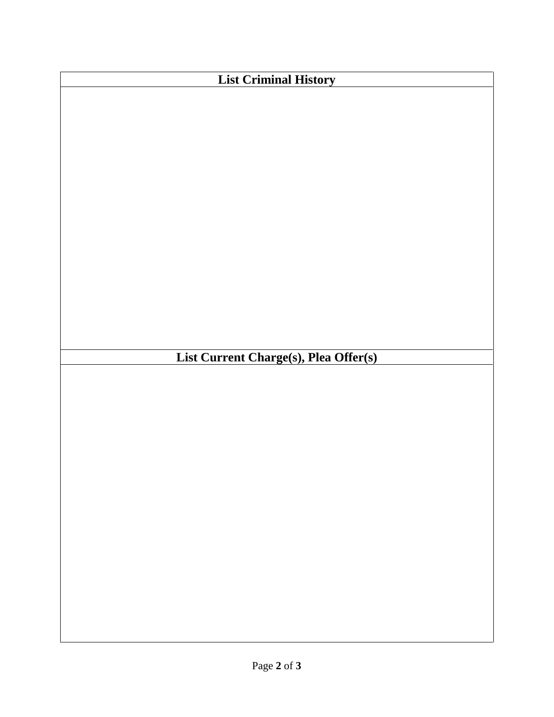